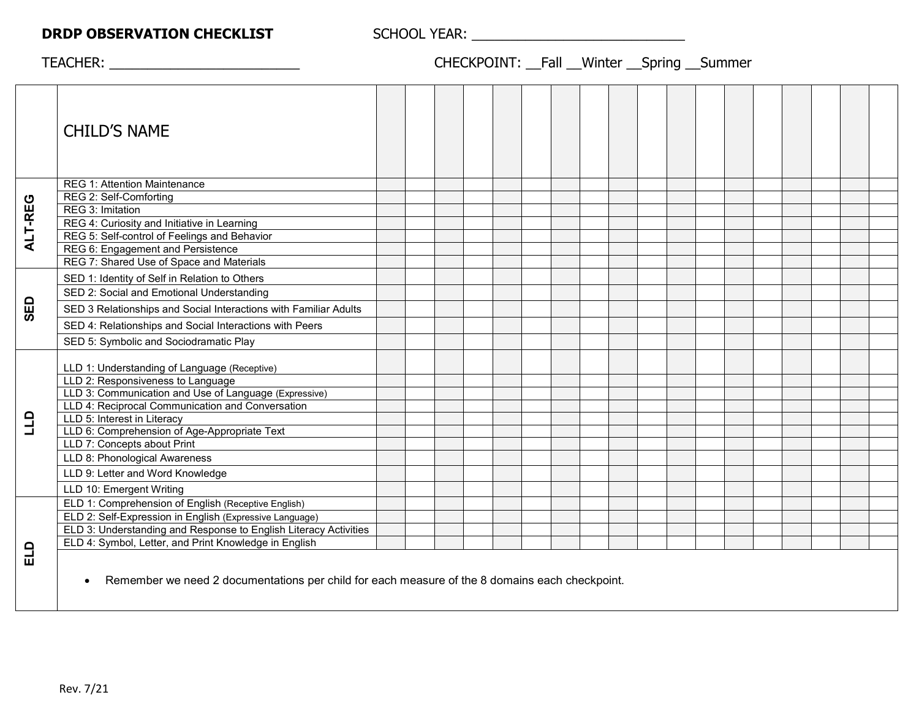## **DRDP OBSERVATION CHECKLIST** SCHOOL YEAR: \_\_\_\_\_\_\_\_\_\_\_\_\_\_\_\_\_\_\_\_\_\_\_\_\_\_\_\_

## TEACHER: \_\_\_\_\_\_\_\_\_\_\_\_\_\_\_\_\_\_\_\_\_\_\_\_\_ CHECKPOINT: \_\_Fall \_\_Winter \_\_Spring \_\_Summer

|         | <b>CHILD'S NAME</b>                                                                                         |  |  |  |  |  |  |  |  |  |
|---------|-------------------------------------------------------------------------------------------------------------|--|--|--|--|--|--|--|--|--|
| ALT-REG | <b>REG 1: Attention Maintenance</b>                                                                         |  |  |  |  |  |  |  |  |  |
|         | REG 2: Self-Comforting                                                                                      |  |  |  |  |  |  |  |  |  |
|         | REG 3: Imitation                                                                                            |  |  |  |  |  |  |  |  |  |
|         | REG 4: Curiosity and Initiative in Learning                                                                 |  |  |  |  |  |  |  |  |  |
|         | REG 5: Self-control of Feelings and Behavior                                                                |  |  |  |  |  |  |  |  |  |
|         | REG 6: Engagement and Persistence                                                                           |  |  |  |  |  |  |  |  |  |
|         | REG 7: Shared Use of Space and Materials                                                                    |  |  |  |  |  |  |  |  |  |
| SED     | SED 1: Identity of Self in Relation to Others                                                               |  |  |  |  |  |  |  |  |  |
|         | SED 2: Social and Emotional Understanding                                                                   |  |  |  |  |  |  |  |  |  |
|         | SED 3 Relationships and Social Interactions with Familiar Adults                                            |  |  |  |  |  |  |  |  |  |
|         | SED 4: Relationships and Social Interactions with Peers                                                     |  |  |  |  |  |  |  |  |  |
|         | SED 5: Symbolic and Sociodramatic Play                                                                      |  |  |  |  |  |  |  |  |  |
|         | LLD 1: Understanding of Language (Receptive)<br>LLD 2: Responsiveness to Language                           |  |  |  |  |  |  |  |  |  |
|         | LLD 3: Communication and Use of Language (Expressive)                                                       |  |  |  |  |  |  |  |  |  |
| ann     | LLD 4: Reciprocal Communication and Conversation                                                            |  |  |  |  |  |  |  |  |  |
|         | LLD 5: Interest in Literacy                                                                                 |  |  |  |  |  |  |  |  |  |
|         | LLD 6: Comprehension of Age-Appropriate Text                                                                |  |  |  |  |  |  |  |  |  |
|         | LLD 7: Concepts about Print                                                                                 |  |  |  |  |  |  |  |  |  |
|         | LLD 8: Phonological Awareness                                                                               |  |  |  |  |  |  |  |  |  |
|         | LLD 9: Letter and Word Knowledge                                                                            |  |  |  |  |  |  |  |  |  |
|         | LLD 10: Emergent Writing                                                                                    |  |  |  |  |  |  |  |  |  |
| ELD     | ELD 1: Comprehension of English (Receptive English)                                                         |  |  |  |  |  |  |  |  |  |
|         | ELD 2: Self-Expression in English (Expressive Language)                                                     |  |  |  |  |  |  |  |  |  |
|         | ELD 3: Understanding and Response to English Literacy Activities                                            |  |  |  |  |  |  |  |  |  |
|         | ELD 4: Symbol, Letter, and Print Knowledge in English                                                       |  |  |  |  |  |  |  |  |  |
|         | Remember we need 2 documentations per child for each measure of the 8 domains each checkpoint.<br>$\bullet$ |  |  |  |  |  |  |  |  |  |
|         |                                                                                                             |  |  |  |  |  |  |  |  |  |